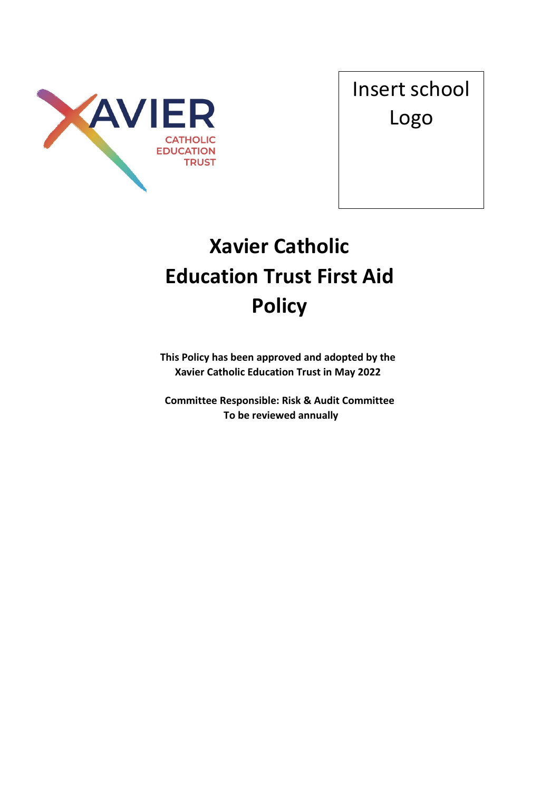

Insert school Logo

# **Xavier Catholic Education Trust First Aid Policy**

**This Policy has been approved and adopted by the Xavier Catholic Education Trust in May 2022**

**Committee Responsible: Risk & Audit Committee To be reviewed annually**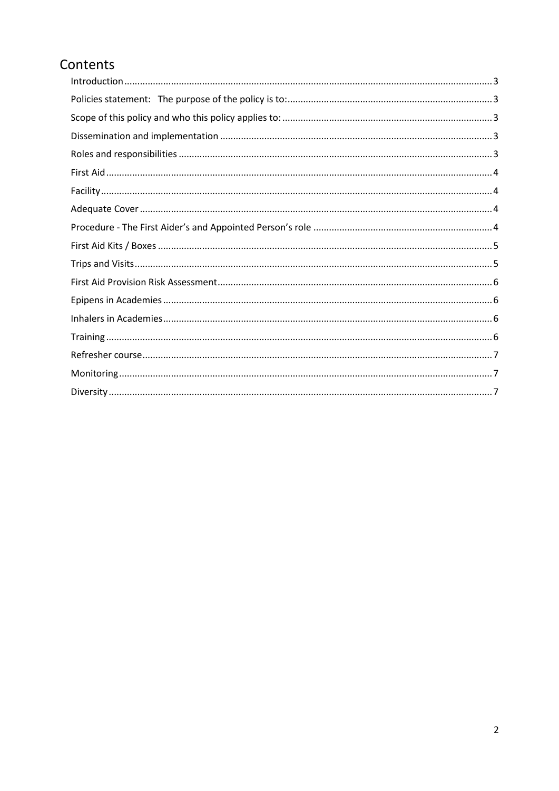# Contents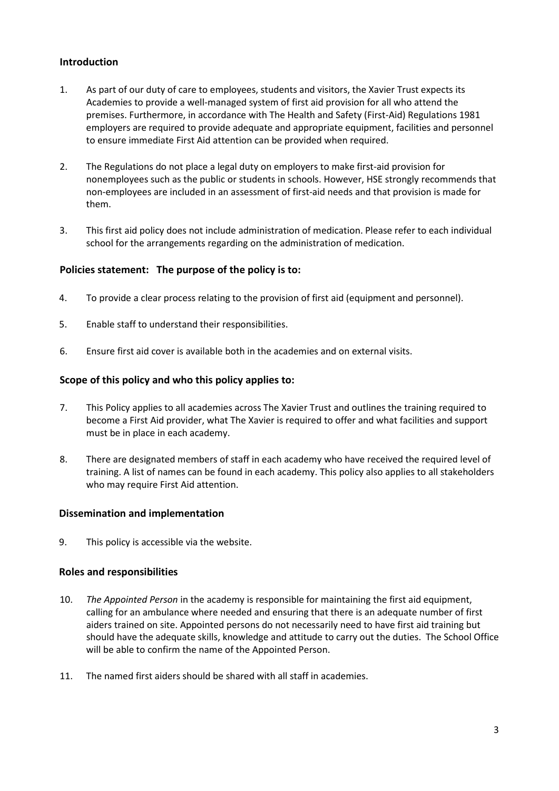# <span id="page-2-0"></span>**Introduction**

- 1. As part of our duty of care to employees, students and visitors, the Xavier Trust expects its Academies to provide a well-managed system of first aid provision for all who attend the premises. Furthermore, in accordance with The Health and Safety (First-Aid) Regulations 1981 employers are required to provide adequate and appropriate equipment, facilities and personnel to ensure immediate First Aid attention can be provided when required.
- 2. The Regulations do not place a legal duty on employers to make first-aid provision for nonemployees such as the public or students in schools. However, HSE strongly recommends that non-employees are included in an assessment of first-aid needs and that provision is made for them.
- 3. This first aid policy does not include administration of medication. Please refer to each individual school for the arrangements regarding on the administration of medication.

### <span id="page-2-1"></span>**Policies statement: The purpose of the policy is to:**

- 4. To provide a clear process relating to the provision of first aid (equipment and personnel).
- 5. Enable staff to understand their responsibilities.
- 6. Ensure first aid cover is available both in the academies and on external visits.

### <span id="page-2-2"></span>**Scope of this policy and who this policy applies to:**

- 7. This Policy applies to all academies across The Xavier Trust and outlines the training required to become a First Aid provider, what The Xavier is required to offer and what facilities and support must be in place in each academy.
- 8. There are designated members of staff in each academy who have received the required level of training. A list of names can be found in each academy. This policy also applies to all stakeholders who may require First Aid attention.

### <span id="page-2-3"></span>**Dissemination and implementation**

9. This policy is accessible via the website.

### <span id="page-2-4"></span>**Roles and responsibilities**

- 10. *The Appointed Person* in the academy is responsible for maintaining the first aid equipment, calling for an ambulance where needed and ensuring that there is an adequate number of first aiders trained on site. Appointed persons do not necessarily need to have first aid training but should have the adequate skills, knowledge and attitude to carry out the duties. The School Office will be able to confirm the name of the Appointed Person.
- 11. The named first aiders should be shared with all staff in academies.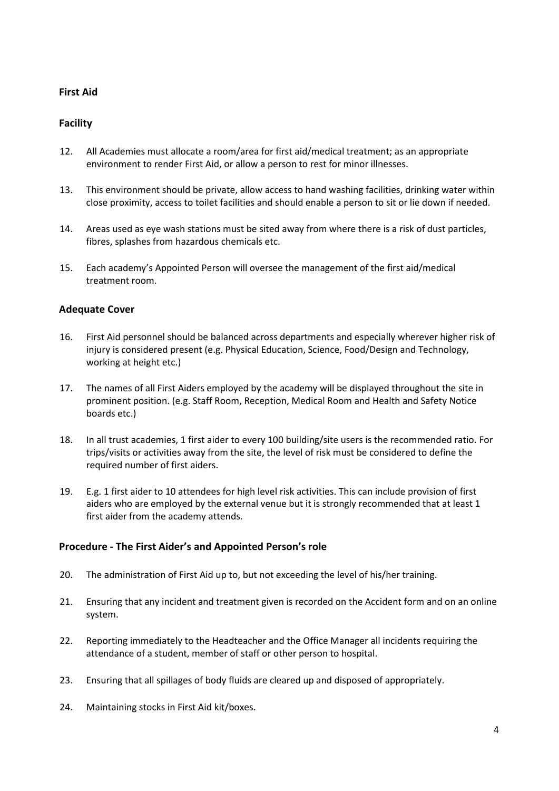# <span id="page-3-0"></span>**First Aid**

# <span id="page-3-1"></span>**Facility**

- 12. All Academies must allocate a room/area for first aid/medical treatment; as an appropriate environment to render First Aid, or allow a person to rest for minor illnesses.
- 13. This environment should be private, allow access to hand washing facilities, drinking water within close proximity, access to toilet facilities and should enable a person to sit or lie down if needed.
- 14. Areas used as eye wash stations must be sited away from where there is a risk of dust particles, fibres, splashes from hazardous chemicals etc.
- 15. Each academy's Appointed Person will oversee the management of the first aid/medical treatment room.

### <span id="page-3-2"></span>**Adequate Cover**

- 16. First Aid personnel should be balanced across departments and especially wherever higher risk of injury is considered present (e.g. Physical Education, Science, Food/Design and Technology, working at height etc.)
- 17. The names of all First Aiders employed by the academy will be displayed throughout the site in prominent position. (e.g. Staff Room, Reception, Medical Room and Health and Safety Notice boards etc.)
- 18. In all trust academies, 1 first aider to every 100 building/site users is the recommended ratio. For trips/visits or activities away from the site, the level of risk must be considered to define the required number of first aiders.
- 19. E.g. 1 first aider to 10 attendees for high level risk activities. This can include provision of first aiders who are employed by the external venue but it is strongly recommended that at least 1 first aider from the academy attends.

### <span id="page-3-3"></span>**Procedure - The First Aider's and Appointed Person's role**

- 20. The administration of First Aid up to, but not exceeding the level of his/her training.
- 21. Ensuring that any incident and treatment given is recorded on the Accident form and on an online system.
- 22. Reporting immediately to the Headteacher and the Office Manager all incidents requiring the attendance of a student, member of staff or other person to hospital.
- 23. Ensuring that all spillages of body fluids are cleared up and disposed of appropriately.
- 24. Maintaining stocks in First Aid kit/boxes.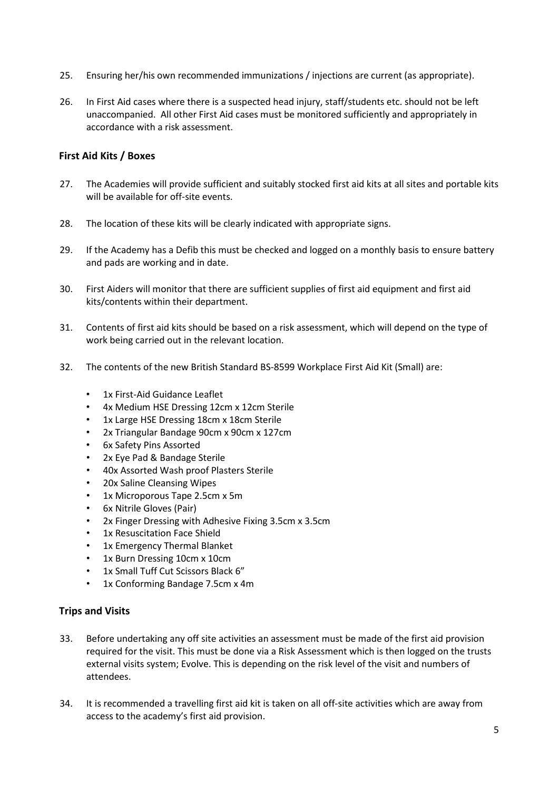- 25. Ensuring her/his own recommended immunizations / injections are current (as appropriate).
- 26. In First Aid cases where there is a suspected head injury, staff/students etc. should not be left unaccompanied. All other First Aid cases must be monitored sufficiently and appropriately in accordance with a risk assessment.

#### <span id="page-4-0"></span>**First Aid Kits / Boxes**

- 27. The Academies will provide sufficient and suitably stocked first aid kits at all sites and portable kits will be available for off-site events.
- 28. The location of these kits will be clearly indicated with appropriate signs.
- 29. If the Academy has a Defib this must be checked and logged on a monthly basis to ensure battery and pads are working and in date.
- 30. First Aiders will monitor that there are sufficient supplies of first aid equipment and first aid kits/contents within their department.
- 31. Contents of first aid kits should be based on a risk assessment, which will depend on the type of work being carried out in the relevant location.
- 32. The contents of the new British Standard BS-8599 Workplace First Aid Kit (Small) are:
	- 1x First-Aid Guidance Leaflet
	- 4x Medium HSE Dressing 12cm x 12cm Sterile
	- 1x Large HSE Dressing 18cm x 18cm Sterile
	- 2x Triangular Bandage 90cm x 90cm x 127cm
	- 6x Safety Pins Assorted
	- 2x Eye Pad & Bandage Sterile
	- 40x Assorted Wash proof Plasters Sterile
	- 20x Saline Cleansing Wipes
	- 1x Microporous Tape 2.5cm x 5m
	- 6x Nitrile Gloves (Pair)
	- 2x Finger Dressing with Adhesive Fixing 3.5cm x 3.5cm
	- 1x Resuscitation Face Shield
	- 1x Emergency Thermal Blanket
	- 1x Burn Dressing 10cm x 10cm
	- 1x Small Tuff Cut Scissors Black 6"
	- 1x Conforming Bandage 7.5cm x 4m

#### <span id="page-4-1"></span>**Trips and Visits**

- 33. Before undertaking any off site activities an assessment must be made of the first aid provision required for the visit. This must be done via a Risk Assessment which is then logged on the trusts external visits system; Evolve. This is depending on the risk level of the visit and numbers of attendees.
- 34. It is recommended a travelling first aid kit is taken on all off-site activities which are away from access to the academy's first aid provision.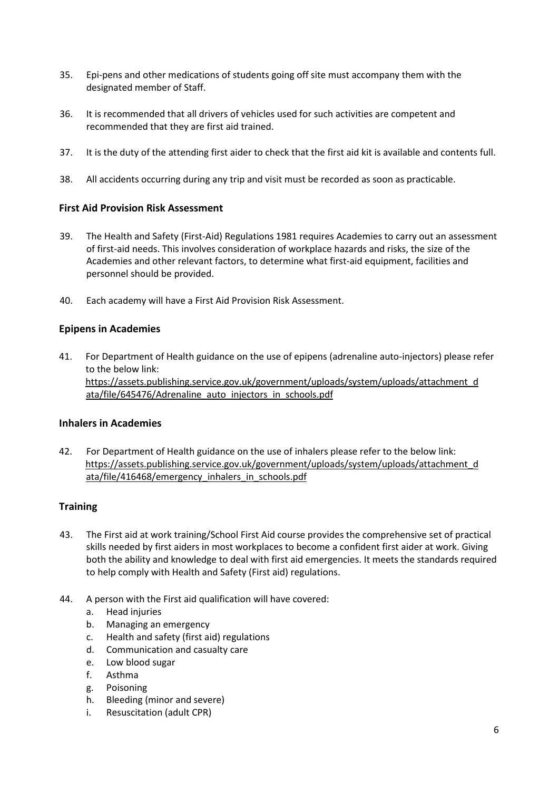- 35. Epi-pens and other medications of students going off site must accompany them with the designated member of Staff.
- 36. It is recommended that all drivers of vehicles used for such activities are competent and recommended that they are first aid trained.
- 37. It is the duty of the attending first aider to check that the first aid kit is available and contents full.
- 38. All accidents occurring during any trip and visit must be recorded as soon as practicable.

### <span id="page-5-0"></span>**First Aid Provision Risk Assessment**

- 39. The Health and Safety (First-Aid) Regulations 1981 requires Academies to carry out an assessment of first-aid needs. This involves consideration of workplace hazards and risks, the size of the Academies and other relevant factors, to determine what first-aid equipment, facilities and personnel should be provided.
- 40. Each academy will have a First Aid Provision Risk Assessment.

### <span id="page-5-1"></span>**Epipens in Academies**

41. For Department of Health guidance on the use of epipens (adrenaline auto-injectors) please refer to the below link: [https://assets.publishing.service.gov.uk/government/uploads/system/uploads/attachment\\_d](https://assets.publishing.service.gov.uk/government/uploads/system/uploads/attachment_data/file/645476/Adrenaline_auto_injectors_in_schools.pdf)  [ata/file/645476/Adrenaline\\_auto\\_injectors\\_in\\_schools.pdf](https://assets.publishing.service.gov.uk/government/uploads/system/uploads/attachment_data/file/645476/Adrenaline_auto_injectors_in_schools.pdf)

### <span id="page-5-2"></span>**Inhalers in Academies**

42. For Department of Health guidance on the use of inhalers please refer to the below link: [https://assets.publishing.service.gov.uk/government/uploads/system/uploads/attachment\\_d](https://assets.publishing.service.gov.uk/government/uploads/system/uploads/attachment_data/file/416468/emergency_inhalers_in_schools.pdf)  [ata/file/416468/emergency\\_inhalers\\_in\\_schools.pdf](https://assets.publishing.service.gov.uk/government/uploads/system/uploads/attachment_data/file/416468/emergency_inhalers_in_schools.pdf)

### <span id="page-5-3"></span>**Training**

- 43. The First aid at work training/School First Aid course provides the comprehensive set of practical skills needed by first aiders in most workplaces to become a confident first aider at work. Giving both the ability and knowledge to deal with first aid emergencies. It meets the standards required to help comply with Health and Safety (First aid) regulations.
- 44. A person with the First aid qualification will have covered:
	- a. Head injuries
	- b. Managing an emergency
	- c. Health and safety (first aid) regulations
	- d. Communication and casualty care
	- e. Low blood sugar
	- f. Asthma
	- g. Poisoning
	- h. Bleeding (minor and severe)
	- i. Resuscitation (adult CPR)